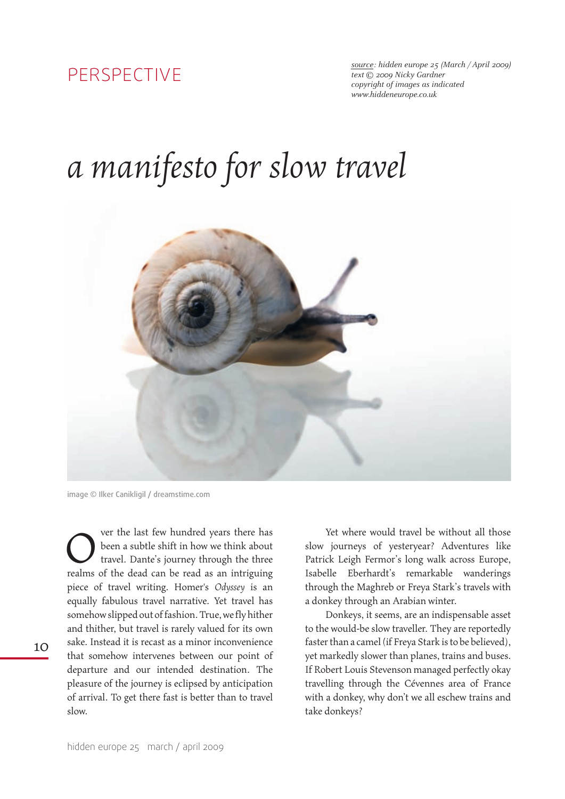## perspective

*source: hidden europe 25 (March / April 2009) text © 2009 Nicky Gardner copyright of images as indicated <www.hiddeneurope.co.uk>*

## *a manifesto for slow travel*



image © Ilker Canikligil / dreamstime.com

ver the last few hundred years there has been a subtle shift in how we think about travel. Dante's journey through the three realms of the dead can be read as an intriguing piece of travel writing. Homer's *Odyssey* is an equally fabulous travel narrative. Yet travel has somehow slipped out of fashion. True, we fly hither and thither, but travel is rarely valued for its own sake. Instead it is recast as a minor inconvenience that somehow intervenes between our point of departure and our intended destination. The pleasure of the journey is eclipsed by anticipation of arrival. To get there fast is better than to travel slow. O

Yet where would travel be without all those slow journeys of yesteryear? Adventures like Patrick Leigh Fermor's long walk across Europe, Isabelle Eberhardt's remarkable wanderings through the Maghreb or Freya Stark's travels with a donkey through an Arabian winter.

Donkeys, it seems, are an indispensable asset to the would-be slow traveller. They are reportedly faster than a camel (if Freya Stark is to be believed), yet markedly slower than planes, trains and buses. If Robert Louis Stevenson managed perfectly okay travelling through the Cévennes area of France with a donkey, why don't we all eschew trains and take donkeys?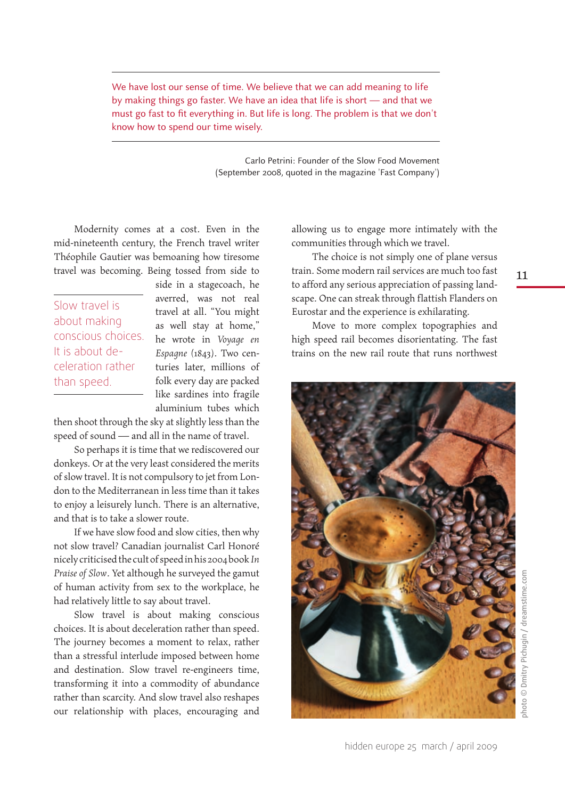We have lost our sense of time. We believe that we can add meaning to life by making things go faster. We have an idea that life is short — and that we must go fast to fit everything in. But life is long. The problem is that we don't know how to spend our time wisely.

> Carlo Petrini: Founder of the Slow Food Movement (September 2008, quoted in the magazine 'Fast Company')

Modernity comes at a cost. Even in the mid-nineteenth century, the French travel writer Théophile Gautier was bemoaning how tiresome travel was becoming. Being tossed from side to

Slow travel is about making conscious choices. It is about deceleration rather than speed.

side in a stagecoach, he averred, was not real travel at all. "You might as well stay at home," he wrote in *Voyage en Espagne* (1843). Two centuries later, millions of folk every day are packed like sardines into fragile aluminium tubes which

then shoot through the sky at slightly less than the speed of sound — and all in the name of travel.

So perhaps it is time that we rediscovered our donkeys. Or at the very least considered the merits of slow travel. It is not compulsory to jet from London to the Mediterranean in less time than it takes to enjoy a leisurely lunch. There is an alternative, and that is to take a slower route.

If we have slow food and slow cities, then why not slow travel? Canadian journalist Carl Honoré nicely criticised the cult of speed in his 2004 book *In Praise of Slow*. Yet although he surveyed the gamut of human activity from sex to the workplace, he had relatively little to say about travel.

Slow travel is about making conscious choices. It is about deceleration rather than speed. The journey becomes a moment to relax, rather than a stressful interlude imposed between home and destination. Slow travel re-engineers time, transforming it into a commodity of abundance rather than scarcity. And slow travel also reshapes our relationship with places, encouraging and

allowing us to engage more intimately with the communities through which we travel.

The choice is not simply one of plane versus train. Some modern rail services are much too fast to afford any serious appreciation of passing landscape. One can streak through flattish Flanders on Eurostar and the experience is exhilarating.

Move to more complex topographies and high speed rail becomes disorientating. The fast trains on the new rail route that runs northwest



11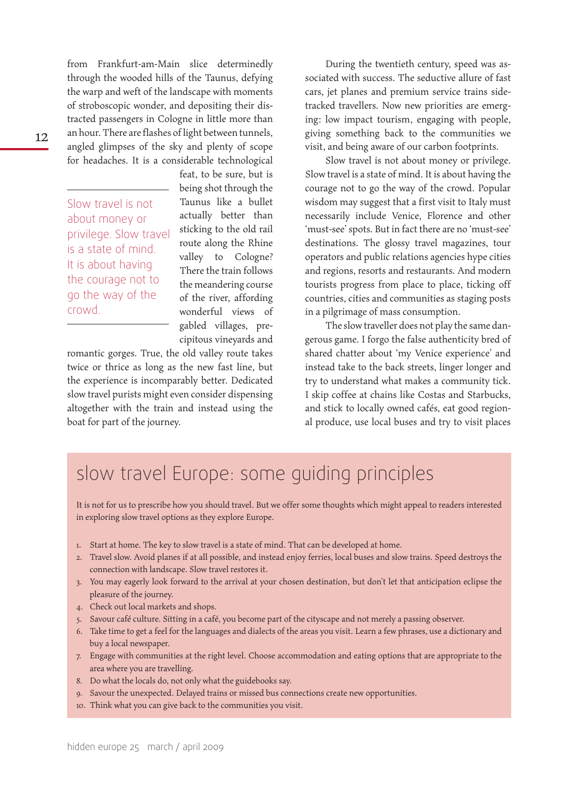from Frankfurt-am-Main slice determinedly through the wooded hills of the Taunus, defying the warp and weft of the landscape with moments of stroboscopic wonder, and depositing their distracted passengers in Cologne in little more than an hour. There are flashes of light between tunnels, angled glimpses of the sky and plenty of scope for headaches. It is a considerable technological

Slow travel is not about money or privilege. Slow travel is a state of mind. It is about having the courage not to go the way of the crowd.

feat, to be sure, but is being shot through the Taunus like a bullet actually better than sticking to the old rail route along the Rhine valley to Cologne? There the train follows the meandering course of the river, affording wonderful views of gabled villages, precipitous vineyards and

romantic gorges. True, the old valley route takes twice or thrice as long as the new fast line, but the experience is incomparably better. Dedicated slow travel purists might even consider dispensing altogether with the train and instead using the boat for part of the journey.

During the twentieth century, speed was associated with success. The seductive allure of fast cars, jet planes and premium service trains sidetracked travellers. Now new priorities are emerging: low impact tourism, engaging with people, giving something back to the communities we visit, and being aware of our carbon footprints.

Slow travel is not about money or privilege. Slow travel is a state of mind. It is about having the courage not to go the way of the crowd. Popular wisdom may suggest that a first visit to Italy must necessarily include Venice, Florence and other 'must-see' spots. But in fact there are no 'must-see' destinations. The glossy travel magazines, tour operators and public relations agencies hype cities and regions, resorts and restaurants. And modern tourists progress from place to place, ticking off countries, cities and communities as staging posts in a pilgrimage of mass consumption.

The slow traveller does not play the same dangerous game. I forgo the false authenticity bred of shared chatter about 'my Venice experience' and instead take to the back streets, linger longer and try to understand what makes a community tick. I skip coffee at chains like Costas and Starbucks, and stick to locally owned cafés, eat good regional produce, use local buses and try to visit places

## slow travel Europe: some guiding principles

It is not for us to prescribe how you should travel. But we offer some thoughts which might appeal to readers interested in exploring slow travel options as they explore Europe.

- 1. Start at home. The key to slow travel is a state of mind. That can be developed at home.
- 2. Travel slow. Avoid planes if at all possible, and instead enjoy ferries, local buses and slow trains. Speed destroys the connection with landscape. Slow travel restores it.
- 3. You may eagerly look forward to the arrival at your chosen destination, but don't let that anticipation eclipse the pleasure of the journey.
- 4. Check out local markets and shops.
- 5. Savour café culture. Sitting in a café, you become part of the cityscape and not merely a passing observer.
- 6. Take time to get a feel for the languages and dialects of the areas you visit. Learn a few phrases, use a dictionary and buy a local newspaper.
- 7. Engage with communities at the right level. Choose accommodation and eating options that are appropriate to the area where you are travelling.
- 8. Do what the locals do, not only what the guidebooks say.
- 9. Savour the unexpected. Delayed trains or missed bus connections create new opportunities.
- 10. Think what you can give back to the communities you visit.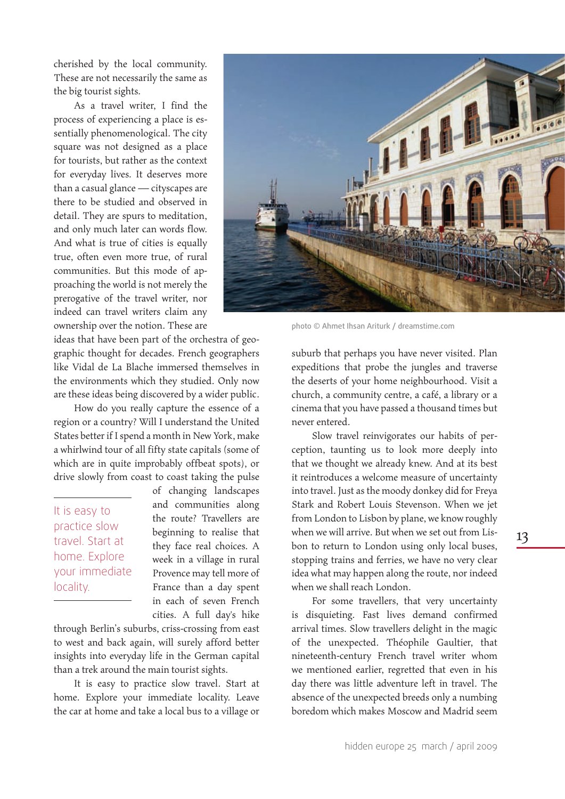cherished by the local community. These are not necessarily the same as the big tourist sights.

As a travel writer, I find the process of experiencing a place is essentially phenomenological. The city square was not designed as a place for tourists, but rather as the context for everyday lives. It deserves more than a casual glance — cityscapes are there to be studied and observed in detail. They are spurs to meditation, and only much later can words flow. And what is true of cities is equally true, often even more true, of rural communities. But this mode of approaching the world is not merely the prerogative of the travel writer, nor indeed can travel writers claim any ownership over the notion. These are



photo © Ahmet Ihsan Ariturk / dreamstime.com

ideas that have been part of the orchestra of geographic thought for decades. French geographers like Vidal de La Blache immersed themselves in the environments which they studied. Only now are these ideas being discovered by a wider public.

How do you really capture the essence of a region or a country? Will I understand the United States better if I spend a month in New York, make a whirlwind tour of all fifty state capitals (some of which are in quite improbably offbeat spots), or drive slowly from coast to coast taking the pulse

It is easy to practice slow travel. Start at home. Explore your immediate locality.

of changing landscapes and communities along the route? Travellers are beginning to realise that they face real choices. A week in a village in rural Provence may tell more of France than a day spent in each of seven French cities. A full day's hike

through Berlin's suburbs, criss-crossing from east to west and back again, will surely afford better insights into everyday life in the German capital than a trek around the main tourist sights.

It is easy to practice slow travel. Start at home. Explore your immediate locality. Leave the car at home and take a local bus to a village or

suburb that perhaps you have never visited. Plan expeditions that probe the jungles and traverse the deserts of your home neighbourhood. Visit a church, a community centre, a café, a library or a cinema that you have passed a thousand times but never entered.

Slow travel reinvigorates our habits of perception, taunting us to look more deeply into that we thought we already knew. And at its best it reintroduces a welcome measure of uncertainty into travel. Just as the moody donkey did for Freya Stark and Robert Louis Stevenson. When we jet from London to Lisbon by plane, we know roughly when we will arrive. But when we set out from Lisbon to return to London using only local buses, stopping trains and ferries, we have no very clear idea what may happen along the route, nor indeed when we shall reach London.

For some travellers, that very uncertainty is disquieting. Fast lives demand confirmed arrival times. Slow travellers delight in the magic of the unexpected. Théophile Gaultier, that nineteenth-century French travel writer whom we mentioned earlier, regretted that even in his day there was little adventure left in travel. The absence of the unexpected breeds only a numbing boredom which makes Moscow and Madrid seem